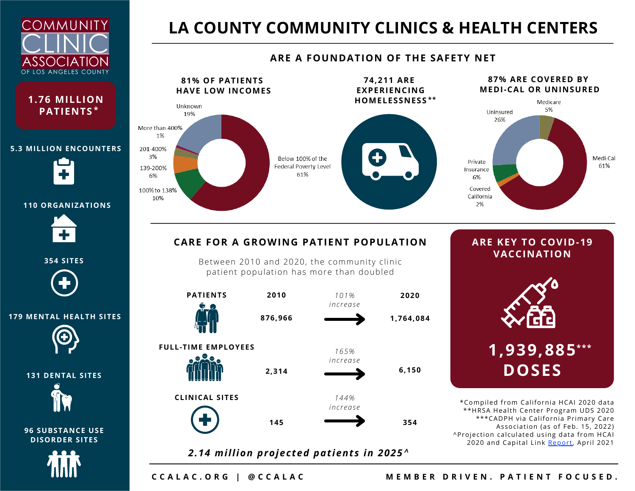



#### **5.3 MILLION ENCOUNTERS**



#### **110 ORGANIZATIONS**



**354 SITES**



#### **179 MENTAL HEALTH SITES**



**131 DENTAL SITES**



**96 SUBSTANCE USE DISORDER SITES**



### **LA COUNTY COMMUNITY CLINICS & HEALTH CENTERS**

#### **87% ARE COVERED BY 81% OF PATIENTS 74,211 ARE EXPERIENCING MEDI-CAL OR UNINSURED HAVE LOW INCOMES HOMELESSNESS \*\*** Medicare Unknown 5% Uninsured 19% 26% More than 400% 1% 201-400% 3% Medi-Cal Below 100% of the Private 61% Federal Poverty Level 139-200% Insurance 61% 6% 6% Covered 100% to 138% California 10% 2%

#### **ARE A FOUNDATION OF THE SAFETY NET**

#### **CARE FOR A GROWING PATIENT POPULATION**

Between 2010 and 2020, the community clinic patient population has more than doubled



# **ARE KEY TO COVID-19 VACCINATION**

**1,939,885 \*\*\* DOSES**

\*Compiled from California HCAI 2020 data \*\*HRSA Health Center Program UDS 2020 \*\*\*CADPH via California Primary Care Association (as of Feb. 15, 2022) ^Projection calculated using data from HCAI 2020 and Capital Link [Repor](https://www.caplink.org/images/Capital_Investment_Trends_and_Needs_of_FQHCs.pdf)t, April 2021

CCALAC.ORG | @CCALAC MEMBER DRIVEN. PATIENT FOCUSED.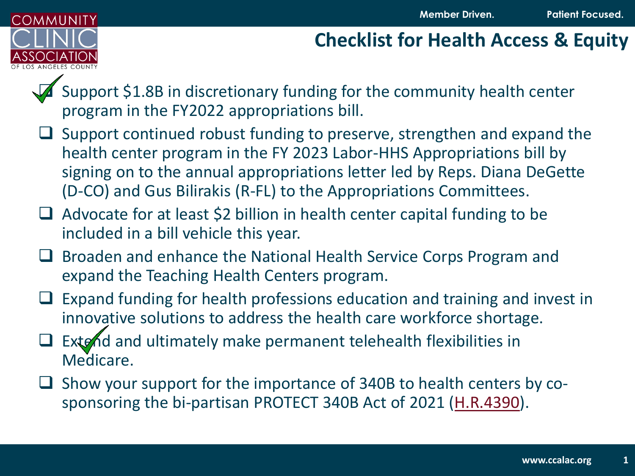

### **Checklist for Health Access & Equity**

Support \$1.8B in discretionary funding for the community health center program in the FY2022 appropriations bill.

- ❑ Support continued robust funding to preserve, strengthen and expand the health center program in the FY 2023 Labor-HHS Appropriations bill by signing on to the annual appropriations letter led by Reps. Diana DeGette (D-CO) and Gus Bilirakis (R-FL) to the Appropriations Committees.
- ❑ Advocate for at least \$2 billion in health center capital funding to be included in a bill vehicle this year.
- ❑ Broaden and enhance the National Health Service Corps Program and expand the Teaching Health Centers program.
- $\Box$  Expand funding for health professions education and training and invest in innovative solutions to address the health care workforce shortage.
- Extend and ultimately make permanent telehealth flexibilities in Medicare.
- ❑ Show your support for the importance of 340B to health centers by cosponsoring the bi-partisan PROTECT 340B Act of 2021 [\(H.R.4390](https://mckinley.house.gov/uploadedfiles/mckinl_043_xml_final.pdf)).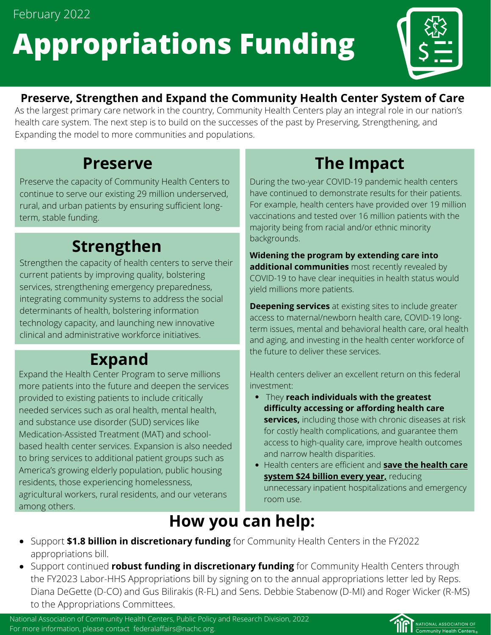February 2022

# **Appropriations Funding**



### **Preserve, Strengthen and Expand the Community Health Center System of Care**

As the largest primary care network in the country, Community Health Centers play an integral role in our nation's health care system. The next step is to build on the successes of the past by Preserving, Strengthening, and Expanding the model to more communities and populations.

### **Preserve**

Preserve the capacity of Community Health Centers to continue to serve our existing 29 million underserved, rural, and urban patients by ensuring sufficient longterm, stable funding.

### **Strengthen**

Strengthen the capacity of health centers to serve their current patients by improving quality, bolstering services, strengthening emergency preparedness, integrating community systems to address the social determinants of health, bolstering information technology capacity, and launching new innovative clinical and administrative workforce initiatives.

### **Expand**

Expand the Health Center Program to serve millions more patients into the future and deepen the services provided to existing patients to include critically needed services such as oral health, mental health, and substance use disorder (SUD) services like Medication-Assisted Treatment (MAT) and schoolbased health center services. Expansion is also needed to bring services to additional patient groups such as America's growing elderly population, public housing residents, those experiencing homelessness, agricultural workers, rural residents, and our veterans among others.

## **The Impact**

During the two-year COVID-19 pandemic health centers have continued to demonstrate results for their patients. For example, health centers have provided over 19 million vaccinations and tested over 16 million patients with the majority being from racial and/or ethnic minority backgrounds.

**Widening the program by extending care into additional communities** most recently revealed by COVID-19 to have clear inequities in health status would yield millions more patients.

**Deepening services** at existing sites to include greater access to maternal/newborn health care, COVID-19 longterm issues, mental and behavioral health care, oral health and aging, and investing in the health center workforce of the future to deliver these services.

Health centers deliver an excellent return on this federal investment:

- They **reach individuals with the greatest difficulty accessing or affording health care services,** including those with chronic diseases at risk for costly health complications, and guarantee them access to high-quality care, improve health outcomes and narrow health disparities.
- Health centers are efficient and **save the health care system \$24 billion every year,** reducing unnecessary inpatient hospitalizations and emergency room use.

### **How you can help:**

- Support **\$1.8 billion in discretionary funding** for Community Health Centers in the FY2022 appropriations bill.
- Support continued **robust funding in discretionary funding** for Community Health Centers through the FY2023 Labor-HHS Appropriations bill by signing on to the annual appropriations letter led by Reps. Diana DeGette (D-CO) and Gus Bilirakis (R-FL) and Sens. Debbie Stabenow (D-MI) and Roger Wicker (R-MS) to the Appropriations Committees.

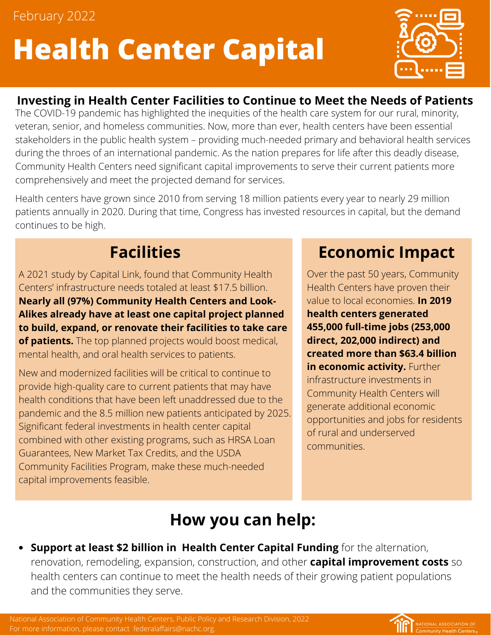February 2022

# **Health Center Capital**



### **Investing in Health Center Facilities to Continue to Meet the Needs of Patients**

The COVID-19 pandemic has highlighted the inequities of the health care system for our rural, minority, veteran, senior, and homeless communities. Now, more than ever, health centers have been essential stakeholders in the public health system – providing much-needed primary and behavioral health services during the throes of an international pandemic. As the nation prepares for life after this deadly disease, Community Health Centers need significant capital improvements to serve their current patients more comprehensively and meet the projected demand for services.

Health centers have grown since 2010 from serving 18 million patients every year to nearly 29 million patients annually in 2020. During that time, Congress has invested resources in capital, but the demand continues to be high.

A 2021 study by Capital Link, found that Community Health Centers' infrastructure needs totaled at least \$17.5 billion. **Nearly all (97%) Community Health Centers and Look-Alikes already have at least one capital project planned to build, expand, or renovate their facilities to take care of patients.** The top planned projects would boost medical, mental health, and oral health services to patients.

New and modernized facilities will be critical to continue to provide high-quality care to current patients that may have health conditions that have been left unaddressed due to the pandemic and the 8.5 million new patients anticipated by 2025. Significant federal investments in health center capital combined with other existing programs, such as HRSA Loan Guarantees, New Market Tax Credits, and the USDA Community Facilities Program, make these much-needed capital improvements feasible.

### **Facilities Economic Impact**

Over the past 50 years, Community Health Centers have proven their value to local economies. **In 2019 health centers generated 455,000 full-time jobs (253,000 direct, 202,000 indirect) and created more than \$63.4 billion in economic activity.** Further infrastructure investments in Community Health Centers will generate additional economic opportunities and jobs for residents of rural and underserved communities.

## **How you can help:**

**Support at least \$2 billion in Health Center Capital Funding** for the alternation, renovation, remodeling, expansion, construction, and other **capital improvement costs** so health centers can continue to meet the health needs of their growing patient populations and the communities they serve.

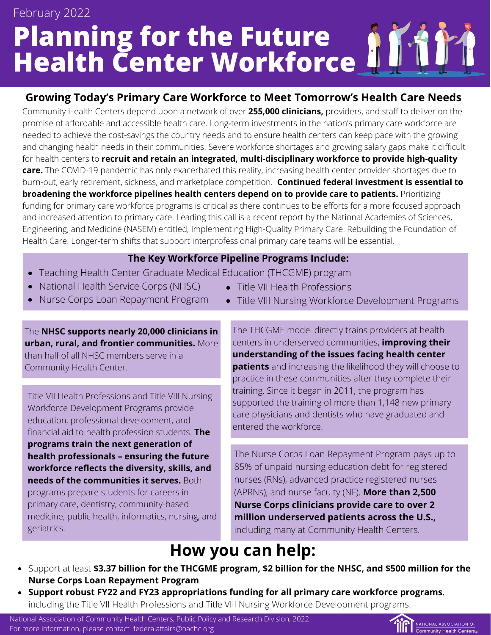# **Planning for the Future Health Center Workforce** February 2022

#### **Growing Today's Primary Care Workforce to Meet Tomorrow's Health Care Needs**

Community Health Centers depend upon a network of over **255,000 clinicians,** providers, and staff to deliver on the promise of affordable and accessible health care. Long-term investments in the nation's primary care workforce are needed to achieve the cost‐savings the country needs and to ensure health centers can keep pace with the growing and changing health needs in their communities. Severe workforce shortages and growing salary gaps make it difficult for health centers to **recruit and retain an integrated, multi-disciplinary workforce to provide high-quality care.** The COVID-19 pandemic has only exacerbated this reality, increasing health center provider shortages due to burn-out, early retirement, sickness, and marketplace competition. **Continued federal investment is essential to broadening the workforce pipelines health centers depend on to provide care to patients.** Prioritizing funding for primary care workforce programs is critical as there continues to be efforts for a more focused approach and increased attention to primary care. Leading this call is a recent report by the National Academies of Sciences, Engineering, and Medicine (NASEM) entitled, Implementing High-Quality Primary Care: Rebuilding the Foundation of Health Care. Longer-term shifts that support interprofessional primary care teams will be essential.

#### **The Key Workforce Pipeline Programs Include:**

- Teaching Health Center Graduate Medical Education (THCGME) program
- National Health Service Corps (NHSC)
- Nurse Corps Loan Repayment Program

The **NHSC supports nearly 20,000 clinicians in urban, rural, and frontier communities.** More

than half of all NHSC members serve in a Community Health Center.

Title VII Health Professions and Title VIII Nursing Workforce Development Programs provide education, professional development, and financial aid to health profession students. **The programs train the next generation of health professionals – ensuring the future workforce reflects the diversity, skills, and needs of the communities it serves.** Both programs prepare students for careers in primary care, dentistry, community-based medicine, public health, informatics, nursing, and geriatrics.

- Title VII Health Professions
- Title VIII Nursing Workforce Development Programs

The THCGME model directly trains providers at health centers in underserved communities, **improving their understanding of the issues facing health center patients** and increasing the likelihood they will choose to practice in these communities after they complete their training. Since it began in 2011, the program has supported the training of more than 1,148 new primary care physicians and dentists who have graduated and entered the workforce.

The Nurse Corps Loan Repayment Program pays up to 85% of unpaid nursing education debt for registered nurses (RNs), advanced practice registered nurses (APRNs), and nurse faculty (NF). **More than 2,500 Nurse Corps clinicians provide care to over 2 million underserved patients across the U.S.,** including many at Community Health Centers.

### **How you can help:**

- Support at least **\$3.37 billion for the THCGME program, \$2 billion for the NHSC, and \$500 million for the Nurse Corps Loan Repayment Program**.
- **Support robust FY22 and FY23 appropriations funding for all primary care workforce programs**, including the Title VII Health Professions and Title VIII Nursing Workforce Development programs.

National Association of Community Health Centers, Public Policy and Research Division, 2022 For more information, please contact federalaffairs@nachc.org.

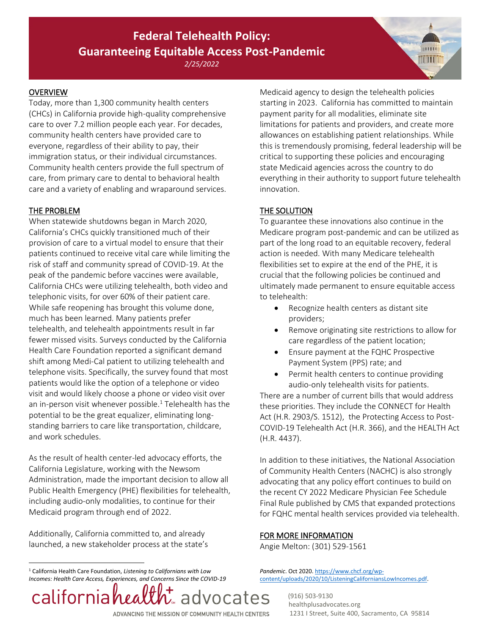#### **Federal Telehealth Policy: Guaranteeing Equitable Access Post-Pandemic**

*2/25/2022*

#### **OVERVIEW**

Today, more than 1,300 community health centers (CHCs) in California provide high-quality comprehensive care to over 7.2 million people each year. For decades, community health centers have provided care to everyone, regardless of their ability to pay, their immigration status, or their individual circumstances. Community health centers provide the full spectrum of care, from primary care to dental to behavioral health care and a variety of enabling and wraparound services.

#### THE PROBLEM

When statewide shutdowns began in March 2020, California's CHCs quickly transitioned much of their provision of care to a virtual model to ensure that their patients continued to receive vital care while limiting the risk of staff and community spread of COVID-19. At the peak of the pandemic before vaccines were available, California CHCs were utilizing telehealth, both video and telephonic visits, for over 60% of their patient care. While safe reopening has brought this volume done, much has been learned. Many patients prefer telehealth, and telehealth appointments result in far fewer missed visits. Surveys conducted by the California Health Care Foundation reported a significant demand shift among Medi-Cal patient to utilizing telehealth and telephone visits. Specifically, the survey found that most patients would like the option of a telephone or video visit and would likely choose a phone or video visit over an in-person visit whenever possible.<sup>1</sup> Telehealth has the potential to be the great equalizer, eliminating longstanding barriers to care like transportation, childcare, and work schedules.

As the result of health center-led advocacy efforts, the California Legislature, working with the Newsom Administration, made the important decision to allow all Public Health Emergency (PHE) flexibilities for telehealth, including audio-only modalities, to continue for their Medicaid program through end of 2022.

Additionally, California committed to, and already launched, a new stakeholder process at the state's

<sup>1</sup> California Health Care Foundation, *Listening to Californians with Low Incomes: Health Care Access, Experiences, and Concerns Since the COVID-19* 



Medicaid agency to design the telehealth policies starting in 2023. California has committed to maintain payment parity for all modalities, eliminate site limitations for patients and providers, and create more allowances on establishing patient relationships. While this is tremendously promising, federal leadership will be critical to supporting these policies and encouraging state Medicaid agencies across the country to do everything in their authority to support future telehealth innovation.

**MANTAIR** 

#### THE SOLUTION

To guarantee these innovations also continue in the Medicare program post-pandemic and can be utilized as part of the long road to an equitable recovery, federal action is needed. With many Medicare telehealth flexibilities set to expire at the end of the PHE, it is crucial that the following policies be continued and ultimately made permanent to ensure equitable access to telehealth:

- Recognize health centers as distant site providers;
- Remove originating site restrictions to allow for care regardless of the patient location;
- Ensure payment at the FQHC Prospective Payment System (PPS) rate; and
- Permit health centers to continue providing audio-only telehealth visits for patients. There are a number of current bills that would address

these priorities. They include the CONNECT for Health Act (H.R. 2903/S. 1512), the Protecting Access to Post-COVID-19 Telehealth Act (H.R. 366), and the HEALTH Act (H.R. 4437).

In addition to these initiatives, the National Association of Community Health Centers (NACHC) is also strongly advocating that any policy effort continues to build on the recent CY 2022 Medicare Physician Fee Schedule Final Rule published by CMS that expanded protections for FQHC mental health services provided via telehealth.

#### FOR MORE INFORMATION

Angie Melton: (301) 529-1561

*Pandemic*. Oct 2020[. https://www.chcf.org/wp](https://www.chcf.org/wp-content/uploads/2020/10/ListeningCaliforniansLowIncomes.pdf)[content/uploads/2020/10/ListeningCaliforniansLowIncomes.pdf.](https://www.chcf.org/wp-content/uploads/2020/10/ListeningCaliforniansLowIncomes.pdf)

> (916) 503-9130 healthplusadvocates.org 1231 I Street, Suite 400, Sacramento, CA 95814